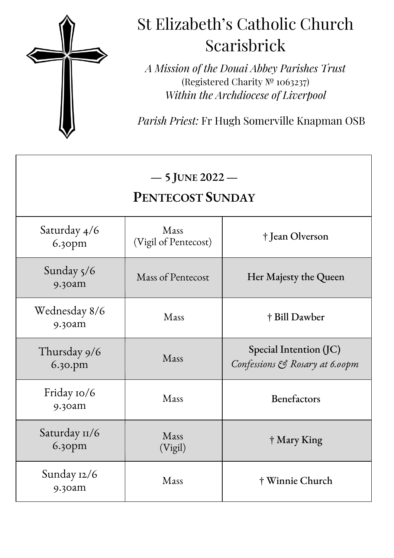

## St Elizabeth's Catholic Church Scarisbrick

*A Mission of the Douai Abbey Parishes Trust* (Registered Charity № 1063237) *Within the Archdiocese of Liverpool*

*Parish Priest:* Fr Hugh Somerville Knapman OSB

| $-5$ JUNE 2022 $-$<br><b>PENTECOST SUNDAY</b> |                              |                                                          |
|-----------------------------------------------|------------------------------|----------------------------------------------------------|
| Saturday 4/6<br>6.30pm                        | Mass<br>(Vigil of Pentecost) | † Jean Olverson                                          |
| Sunday 5/6<br>$9.30$ am                       | Mass of Pentecost            | Her Majesty the Queen                                    |
| Wednesday 8/6<br>9.30am                       | Mass                         | † Bill Dawber                                            |
| Thursday 9/6<br>6.30.pm                       | Mass                         | Special Intention (JC)<br>Confessions & Rosary at 6.00pm |
| Friday 10/6<br>9.30am                         | Mass                         | Benefactors                                              |
| Saturday 11/6<br>6.30pm                       | Mass<br>(Vigil)              | † Mary King                                              |
| Sunday 12/6<br>9.30am                         | Mass                         | † Winnie Church                                          |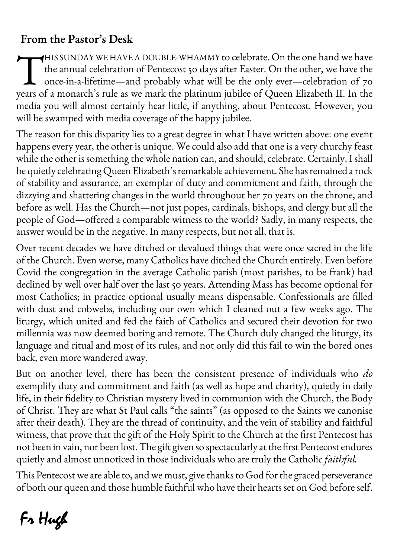### **From the Pastor's Desk**

HIS SUNDAY WE HAVE A DOUBLE-WHAMMY to celebrate. On the one hand we have the annual celebration of Pentecost 50 days after Easter. On the other, we have the once-in-a-lifetime—and probably what will be the only ever—celebration of 70 HIS SUNDAY WE HAVE A DOUBLE-WHAMMY to celebrate. On the one hand we have<br>the annual celebration of Pentecost 50 days after Easter. On the other, we have the<br>once-in-a-lifetime—and probably what will be the only ever—celebr media you will almost certainly hear little, if anything, about Pentecost. However, you will be swamped with media coverage of the happy jubilee.

The reason for this disparity lies to a great degree in what I have written above: one event happens every year, the other is unique. We could also add that one is a very churchy feast while the other is something the whole nation can, and should, celebrate. Certainly, I shall be quietly celebrating Queen Elizabeth's remarkable achievement. She has remained a rock of stability and assurance, an exemplar of duty and commitment and faith, through the dizzying and shattering changes in the world throughout her 70 years on the throne, and before as well. Has the Church—not just popes, cardinals, bishops, and clergy but all the people of God—offered a comparable witness to the world? Sadly, in many respects, the answer would be in the negative. In many respects, but not all, that is.

Over recent decades we have ditched or devalued things that were once sacred in the life of the Church. Even worse, many Catholics have ditched the Church entirely. Even before Covid the congregation in the average Catholic parish (most parishes, to be frank) had declined by well over half over the last 50 years. Attending Mass has become optional for most Catholics; in practice optional usually means dispensable. Confessionals are filled with dust and cobwebs, including our own which I cleaned out a few weeks ago. The liturgy, which united and fed the faith of Catholics and secured their devotion for two millennia was now deemed boring and remote. The Church duly changed the liturgy, its language and ritual and most of its rules, and not only did this fail to win the bored ones back, even more wandered away.

But on another level, there has been the consistent presence of individuals who *do* exemplify duty and commitment and faith (as well as hope and charity), quietly in daily life, in their fidelity to Christian mystery lived in communion with the Church, the Body of Christ. They are what St Paul calls "the saints" (as opposed to the Saints we canonise after their death). They are the thread of continuity, and the vein of stability and faithful witness, that prove that the gift of the Holy Spirit to the Church at the first Pentecost has not been in vain, nor been lost. The gift given so spectacularly at the first Pentecost endures quietly and almost unnoticed in those individuals who are truly the Catholic *faithful.*

This Pentecostwe are able to, and we must, give thanks to God for the graced perseverance of both our queen and those humble faithful who have their hearts set on God before self.

# Fr Hugh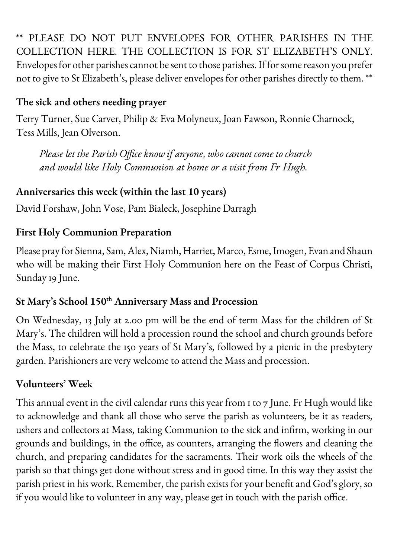\*\* PLEASE DO NOT PUT ENVELOPES FOR OTHER PARISHES IN THE COLLECTION HERE. THE COLLECTION IS FOR ST ELIZABETH'S ONLY. Envelopes for other parishes cannot be sent to those parishes.If for some reason you prefer not to give to St Elizabeth's, please deliver envelopes for other parishes directly to them. \*\*

#### **The sick and others needing prayer**

Terry Turner, Sue Carver, Philip & Eva Molyneux, Joan Fawson, Ronnie Charnock, Tess Mills, Jean Olverson.

*Please let the Parish Office know if anyone, who cannot come to church and would like Holy Communion at home or a visit from Fr Hugh.*

#### **Anniversaries this week (within the last 10 years)**

David Forshaw, John Vose, Pam Bialeck, Josephine Darragh

#### **First Holy Communion Preparation**

Please pray for Sienna, Sam, Alex, Niamh, Harriet, Marco, Esme,Imogen, Evan and Shaun who will be making their First Holy Communion here on the Feast of Corpus Christi, Sunday 19 June.

#### **St Mary's School 150th Anniversary Mass and Procession**

On Wednesday, 13 July at 2.00 pm will be the end of term Mass for the children of St Mary's. The children will hold a procession round the school and church grounds before the Mass, to celebrate the 150 years of St Mary's, followed by a picnic in the presbytery garden. Parishioners are very welcome to attend the Mass and procession.

#### **Volunteers' Week**

This annual event in the civil calendar runs this year from 1 to 7 June. Fr Hugh would like to acknowledge and thank all those who serve the parish as volunteers, be it as readers, ushers and collectors at Mass, taking Communion to the sick and infirm, working in our grounds and buildings, in the office, as counters, arranging the flowers and cleaning the church, and preparing candidates for the sacraments. Their work oils the wheels of the parish so that things get done without stress and in good time. In this way they assist the parish priest in his work. Remember, the parish exists for your benefit and God's glory, so if you would like to volunteer in any way, please get in touch with the parish office.